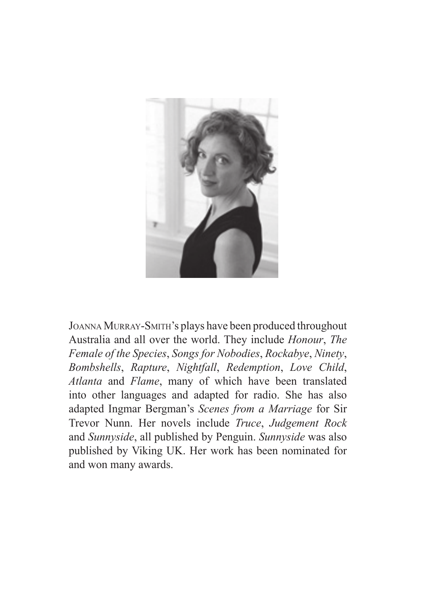

Joanna Murray-Smith's plays have been produced throughout Australia and all over the world. They include *Honour*, *The Female of the Species*, *Songs for Nobodies*, *Rockabye*, *Ninety*, *Bombshells*, *Rapture*, *Nightfall*, *Redemption*, *Love Child*, *Atlanta* and *Flame*, many of which have been translated into other languages and adapted for radio. She has also adapted Ingmar Bergman's *Scenes from a Marriage* for Sir Trevor Nunn. Her novels include *Truce*, *Judgement Rock* and *Sunnyside*, all published by Penguin. *Sunnyside* was also published by Viking UK. Her work has been nominated for and won many awards.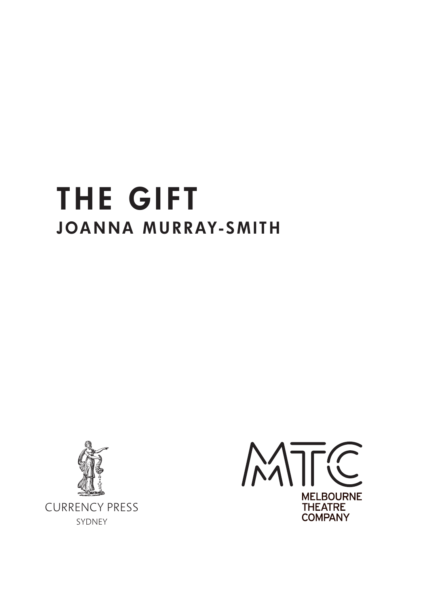# the gift JOANNA MURRAY-SMITH



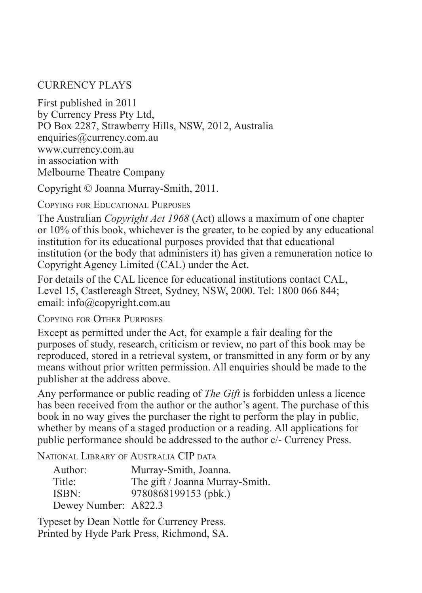# CURRENCY PLAYS

First published in 2011 by Currency Press Pty Ltd, PO Box 2287, Strawberry Hills, NSW, 2012, Australia enquiries@currency.com.au www.currency.com.au in association with Melbourne Theatre Company

Copyright © Joanna Murray-Smith, 2011.

Copying for Educational Purposes

The Australian *Copyright Act 1968* (Act) allows a maximum of one chapter or 10% of this book, whichever is the greater, to be copied by any educational institution for its educational purposes provided that that educational institution (or the body that administers it) has given a remuneration notice to Copyright Agency Limited (CAL) under the Act.

For details of the CAL licence for educational institutions contact CAL, Level 15, Castlereagh Street, Sydney, NSW, 2000. Tel: 1800 066 844; email: info@copyright.com.au

Copying for Other Purposes

Except as permitted under the Act, for example a fair dealing for the purposes of study, research, criticism or review, no part of this book may be reproduced, stored in a retrieval system, or transmitted in any form or by any means without prior written permission. All enquiries should be made to the publisher at the address above.

Any performance or public reading of *The Gift* is forbidden unless a licence has been received from the author or the author's agent. The purchase of this book in no way gives the purchaser the right to perform the play in public, whether by means of a staged production or a reading. All applications for public performance should be addressed to the author c/- Currency Press.

National Library of Australia CIP data

| Author:              | Murray-Smith, Joanna.           |
|----------------------|---------------------------------|
| Title:               | The gift / Joanna Murray-Smith. |
| ISBN:                | 9780868199153 (pbk.)            |
| Dewey Number: A822.3 |                                 |

Typeset by Dean Nottle for Currency Press. Printed by Hyde Park Press, Richmond, SA.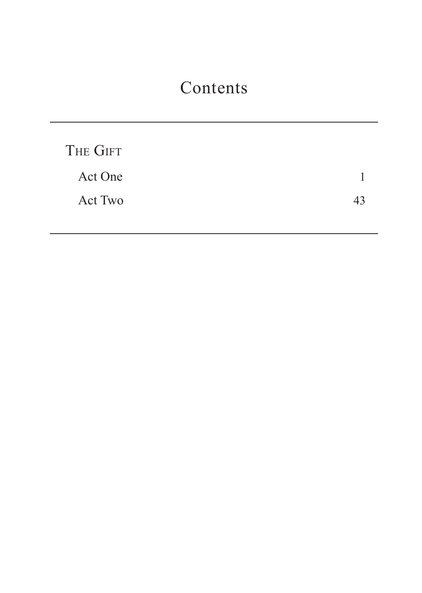# Contents

| THE GIFT |  |
|----------|--|
| Act One  |  |
| Act Two  |  |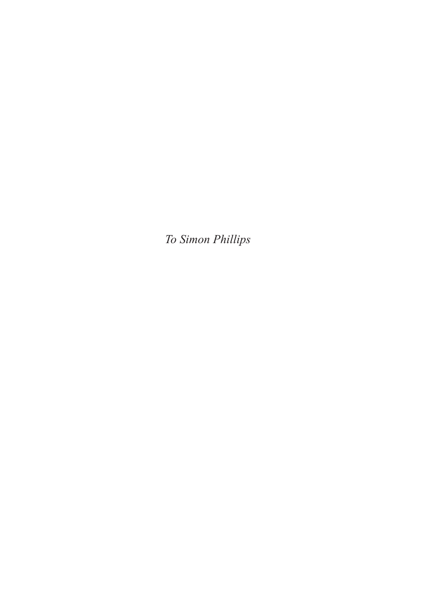*To Simon Phillips*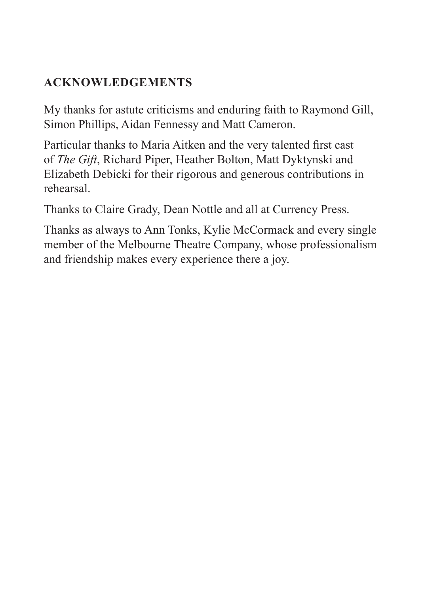# **ACKNOWLEDGEMENTS**

My thanks for astute criticisms and enduring faith to Raymond Gill, Simon Phillips, Aidan Fennessy and Matt Cameron.

Particular thanks to Maria Aitken and the very talented first cast of *The Gift*, Richard Piper, Heather Bolton, Matt Dyktynski and Elizabeth Debicki for their rigorous and generous contributions in rehearsal.

Thanks to Claire Grady, Dean Nottle and all at Currency Press.

Thanks as always to Ann Tonks, Kylie McCormack and every single member of the Melbourne Theatre Company, whose professionalism and friendship makes every experience there a joy.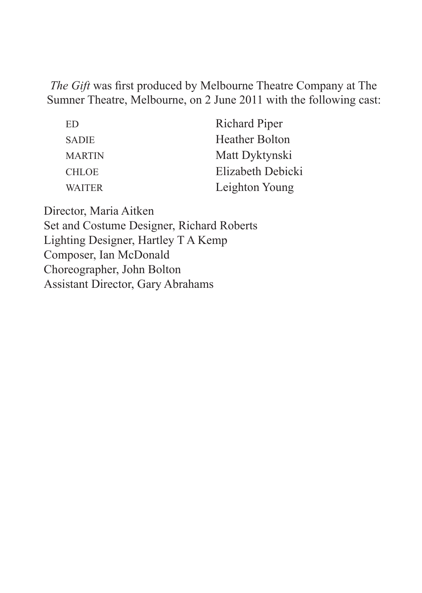*The Gift* was first produced by Melbourne Theatre Company at The Sumner Theatre, Melbourne, on 2 June 2011 with the following cast:

| ED            | <b>Richard Piper</b>  |
|---------------|-----------------------|
| <b>SADIE</b>  | <b>Heather Bolton</b> |
| <b>MARTIN</b> | Matt Dyktynski        |
| <b>CHLOE</b>  | Elizabeth Debicki     |
| <b>WAITER</b> | Leighton Young        |

Director, Maria Aitken Set and Costume Designer, Richard Roberts Lighting Designer, Hartley T A Kemp Composer, Ian McDonald Choreographer, John Bolton Assistant Director, Gary Abrahams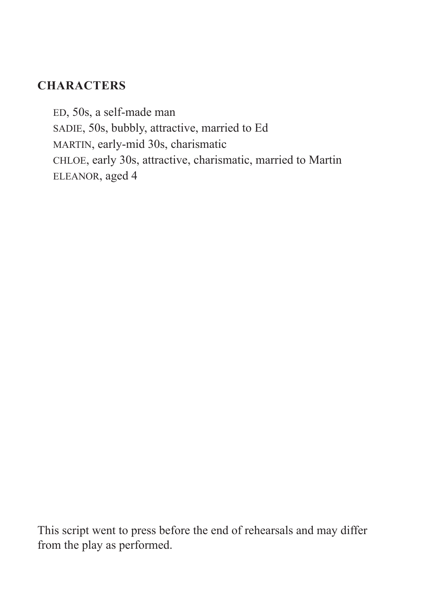# **CHARACTERS**

ED, 50s, a self-made man SADIE, 50s, bubbly, attractive, married to Ed MARTIN, early-mid 30s, charismatic CHLOE, early 30s, attractive, charismatic, married to Martin ELEANOR, aged 4

This script went to press before the end of rehearsals and may differ from the play as performed.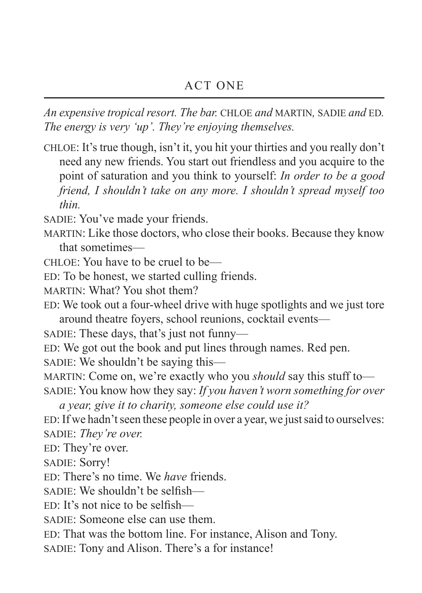*An expensive tropical resort. The bar.* CHLOE *and* MARTIN*,* SADIE *and* ED*. The energy is very 'up'. They're enjoying themselves.*

CHLOE: It's true though, isn't it, you hit your thirties and you really don't need any new friends. You start out friendless and you acquire to the point of saturation and you think to yourself: *In order to be a good friend, I shouldn't take on any more. I shouldn't spread myself too thin.*

SADIE: You've made your friends.

MARTIN: Like those doctors, who close their books. Because they know that sometimes—

CHLOE: You have to be cruel to be—

ED: To be honest, we started culling friends.

MARTIN: What? You shot them?

ED: We took out a four-wheel drive with huge spotlights and we just tore around theatre foyers, school reunions, cocktail events—

SADIE: These days, that's just not funny—

ED: We got out the book and put lines through names. Red pen.

SADIE: We shouldn't be saying this—

MARTIN: Come on, we're exactly who you *should* say this stuff to— SADIE: You know how they say: *If you haven't worn something for over* 

*a year, give it to charity, someone else could use it?*

ED: If we hadn't seen these people in over a year, we just said to ourselves: SADIE: *They're over.*

ED: They're over.

SADIE: Sorry!

ED: There's no time. We *have* friends.

SADIE: We shouldn't be selfish—

ED: It's not nice to be selfish—

SADIE: Someone else can use them.

ED: That was the bottom line. For instance, Alison and Tony.

SADIE: Tony and Alison. There's a for instance!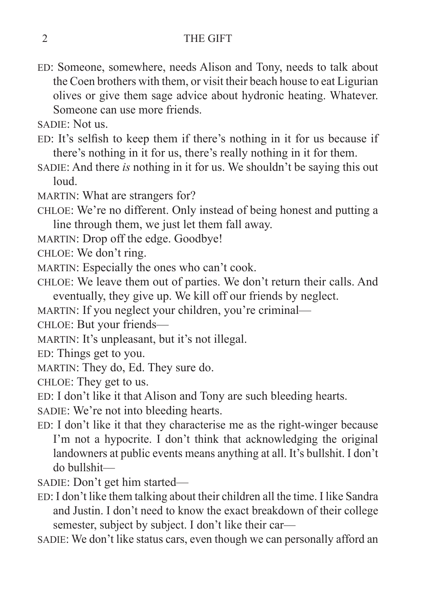## 2 THE GIFT

- ED: Someone, somewhere, needs Alison and Tony, needs to talk about the Coen brothers with them, or visit their beach house to eat Ligurian olives or give them sage advice about hydronic heating. Whatever. Someone can use more friends.
- SADIE: Not us.
- ED: It's selfish to keep them if there's nothing in it for us because if there's nothing in it for us, there's really nothing in it for them.
- SADIE: And there *is* nothing in it for us. We shouldn't be saying this out loud.
- MARTIN: What are strangers for?
- CHLOE: We're no different. Only instead of being honest and putting a line through them, we just let them fall away.
- MARTIN: Drop off the edge. Goodbye!
- CHLOE: We don't ring.
- MARTIN: Especially the ones who can't cook.
- CHLOE: We leave them out of parties. We don't return their calls. And eventually, they give up. We kill off our friends by neglect.
- MARTIN: If you neglect your children, you're criminal—
- CHLOE: But your friends—
- MARTIN: It's unpleasant, but it's not illegal.
- ED: Things get to you.
- MARTIN: They do, Ed. They sure do.
- CHLOE: They get to us.
- ED: I don't like it that Alison and Tony are such bleeding hearts.
- SADIE: We're not into bleeding hearts.
- ED: I don't like it that they characterise me as the right-winger because I'm not a hypocrite. I don't think that acknowledging the original landowners at public events means anything at all. It's bullshit. I don't do bullshit—
- SADIE: Don't get him started—
- ED: I don't like them talking about their children all the time. I like Sandra and Justin. I don't need to know the exact breakdown of their college semester, subject by subject. I don't like their car—
- SADIE: We don't like status cars, even though we can personally afford an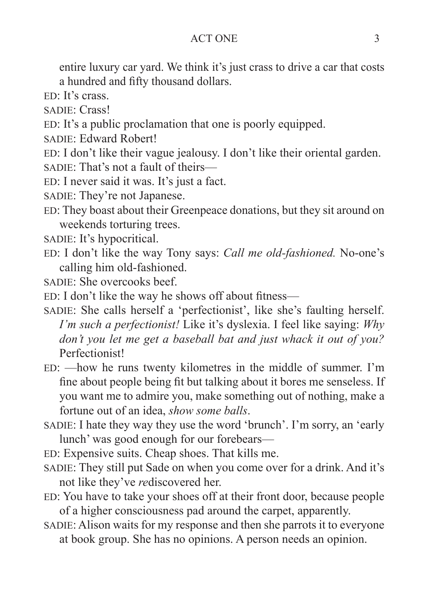#### ACT ONE 3

entire luxury car yard. We think it's just crass to drive a car that costs a hundred and fifty thousand dollars.

ED: It's crass.

SADIE: Crass!

ED: It's a public proclamation that one is poorly equipped.

SADIE: Edward Robert!

ED: I don't like their vague jealousy. I don't like their oriental garden.

SADIE: That's not a fault of theirs—

ED: I never said it was. It's just a fact.

SADIE: They're not Japanese.

ED: They boast about their Greenpeace donations, but they sit around on weekends torturing trees.

SADIE: It's hypocritical.

ED: I don't like the way Tony says: *Call me old-fashioned.* No-one's calling him old-fashioned.

SADIE: She overcooks beef.

ED: I don't like the way he shows off about fitness—

SADIE: She calls herself a 'perfectionist', like she's faulting herself. *I'm such a perfectionist!* Like it's dyslexia. I feel like saying: *Why don't you let me get a baseball bat and just whack it out of you?* Perfectionist!

ED: —how he runs twenty kilometres in the middle of summer. I'm fine about people being fit but talking about it bores me senseless. If you want me to admire you, make something out of nothing, make a fortune out of an idea, *show some balls*.

SADIE: I hate they way they use the word 'brunch'. I'm sorry, an 'early lunch' was good enough for our forebears—

ED: Expensive suits. Cheap shoes. That kills me.

- SADIE: They still put Sade on when you come over for a drink. And it's not like they've *re*discovered her.
- ED: You have to take your shoes off at their front door, because people of a higher consciousness pad around the carpet, apparently.
- SADIE: Alison waits for my response and then she parrots it to everyone at book group. She has no opinions. A person needs an opinion.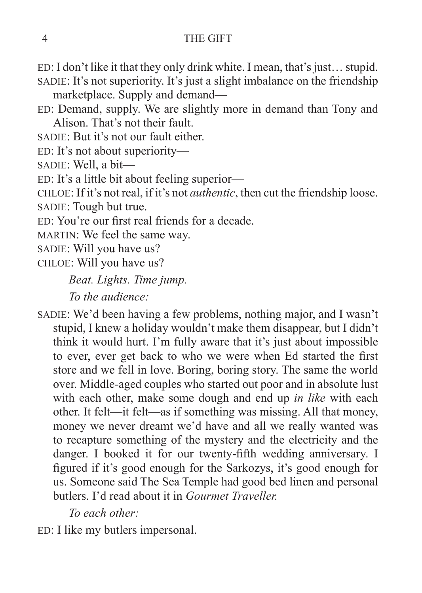ED: I don't like it that they only drink white. I mean, that's just… stupid. SADIE: It's not superiority. It's just a slight imbalance on the friendship marketplace. Supply and demand—

- ED: Demand, supply. We are slightly more in demand than Tony and Alison. That's not their fault.
- SADIE: But it's not our fault either.

ED: It's not about superiority—

SADIE: Well, a bit—

ED: It's a little bit about feeling superior—

CHLOE: If it's not real, if it's not *authentic*, then cut the friendship loose. SADIE: Tough but true.

ED: You're our first real friends for a decade.

MARTIN: We feel the same way.

SADIE: Will you have us?

CHLOE: Will you have us?

*Beat. Lights. Time jump.*

*To the audience:*

SADIE: We'd been having a few problems, nothing major, and I wasn't stupid, I knew a holiday wouldn't make them disappear, but I didn't think it would hurt. I'm fully aware that it's just about impossible to ever, ever get back to who we were when Ed started the first store and we fell in love. Boring, boring story. The same the world over. Middle-aged couples who started out poor and in absolute lust with each other, make some dough and end up *in like* with each other. It felt—it felt—as if something was missing. All that money, money we never dreamt we'd have and all we really wanted was to recapture something of the mystery and the electricity and the danger. I booked it for our twenty-fifth wedding anniversary. I figured if it's good enough for the Sarkozys, it's good enough for us. Someone said The Sea Temple had good bed linen and personal butlers. I'd read about it in *Gourmet Traveller.*

*To each other:*

ED: I like my butlers impersonal.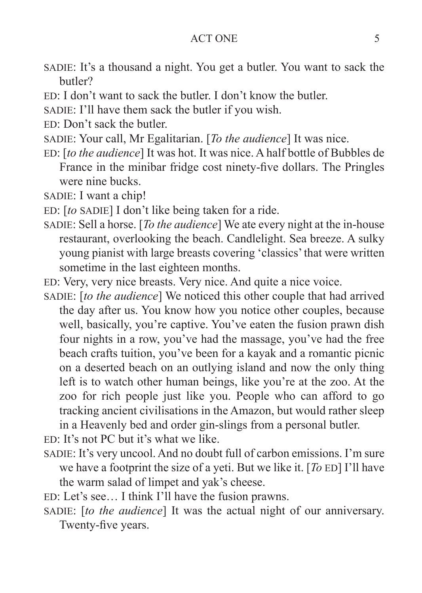#### ACT ONE 5

- SADIE: It's a thousand a night. You get a butler. You want to sack the butler?
- ED: I don't want to sack the butler. I don't know the butler.
- SADIE: I'll have them sack the butler if you wish.
- ED: Don't sack the butler.
- SADIE: Your call, Mr Egalitarian. [*To the audience*] It was nice.
- ED: [*to the audience*] It was hot. It was nice. A half bottle of Bubbles de France in the minibar fridge cost ninety-five dollars. The Pringles were nine bucks.
- SADIE: I want a chip!
- ED: [*to* SADIE] I don't like being taken for a ride.
- SADIE: Sell a horse. [*To the audience*] We ate every night at the in-house restaurant, overlooking the beach. Candlelight. Sea breeze. A sulky young pianist with large breasts covering 'classics' that were written sometime in the last eighteen months.
- ED: Very, very nice breasts. Very nice. And quite a nice voice.
- SADIE: [*to the audience*] We noticed this other couple that had arrived the day after us. You know how you notice other couples, because well, basically, you're captive. You've eaten the fusion prawn dish four nights in a row, you've had the massage, you've had the free beach crafts tuition, you've been for a kayak and a romantic picnic on a deserted beach on an outlying island and now the only thing left is to watch other human beings, like you're at the zoo. At the zoo for rich people just like you. People who can afford to go tracking ancient civilisations in the Amazon, but would rather sleep in a Heavenly bed and order gin-slings from a personal butler.
- ED: It's not PC but it's what we like.
- SADIE: It's very uncool. And no doubt full of carbon emissions. I'm sure we have a footprint the size of a yeti. But we like it. [*To* ED] I'll have the warm salad of limpet and yak's cheese.
- ED: Let's see… I think I'll have the fusion prawns.
- SADIE: [*to the audience*] It was the actual night of our anniversary. Twenty-five years.